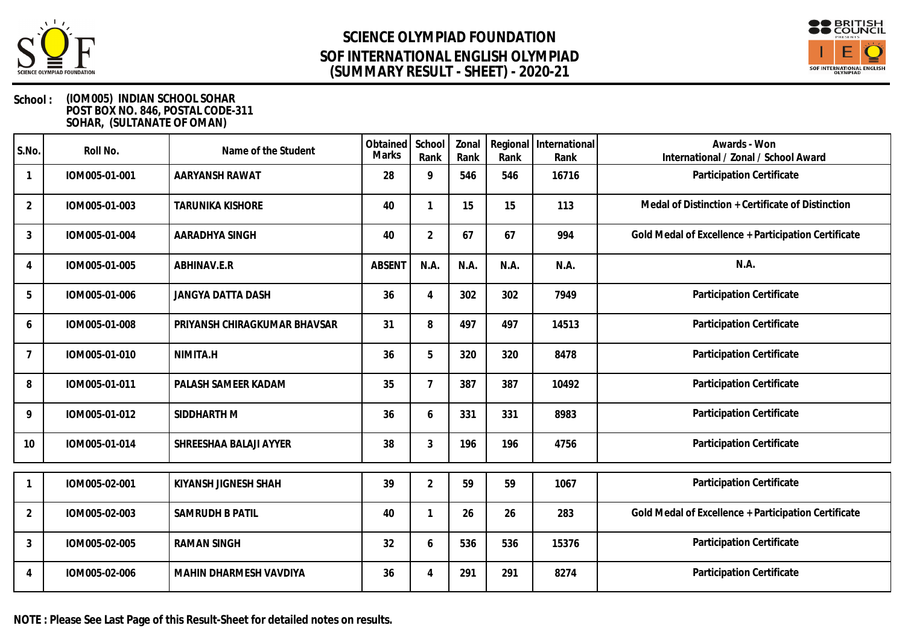



| S.No.          | Roll No.      | Name of the Student          | Obtained<br><b>Marks</b> | School<br>Rank            | Zonal<br>Rank | Rank | Regional   International<br>Rank | Awards - Won<br>International / Zonal / School Award |
|----------------|---------------|------------------------------|--------------------------|---------------------------|---------------|------|----------------------------------|------------------------------------------------------|
|                | IOM005-01-001 | AARYANSH RAWAT               | 28                       | 9                         | 546           | 546  | 16716                            | Participation Certificate                            |
| $\overline{2}$ | IOM005-01-003 | <b>TARUNIKA KISHORE</b>      | 40                       |                           | 15            | 15   | 113                              | Medal of Distinction + Certificate of Distinction    |
| $\mathfrak{Z}$ | IOM005-01-004 | AARADHYA SINGH               | 40                       | $\overline{2}$            | 67            | 67   | 994                              | Gold Medal of Excellence + Participation Certificate |
| $\overline{4}$ | IOM005-01-005 | ABHINAV.E.R                  | <b>ABSENT</b>            | N.A.                      | N.A.          | N.A. | N.A.                             | N.A.                                                 |
| 5              | IOM005-01-006 | JANGYA DATTA DASH            | 36                       | $\boldsymbol{\varLambda}$ | 302           | 302  | 7949                             | Participation Certificate                            |
| 6              | IOM005-01-008 | PRIYANSH CHIRAGKUMAR BHAVSAR | 31                       | 8                         | 497           | 497  | 14513                            | Participation Certificate                            |
| $\overline{7}$ | IOM005-01-010 | NIMITA.H                     | 36                       | 5                         | 320           | 320  | 8478                             | Participation Certificate                            |
| 8              | IOM005-01-011 | PALASH SAMEER KADAM          | 35                       |                           | 387           | 387  | 10492                            | Participation Certificate                            |
| 9              | IOM005-01-012 | SIDDHARTH M                  | 36                       | 6                         | 331           | 331  | 8983                             | Participation Certificate                            |
| 10             | IOM005-01-014 | SHREESHAA BALAJI AYYER       | 38                       | 3                         | 196           | 196  | 4756                             | Participation Certificate                            |
|                | IOM005-02-001 | KIYANSH JIGNESH SHAH         | 39                       | $\overline{2}$            | 59            | 59   | 1067                             | Participation Certificate                            |
| 2              | IOM005-02-003 | <b>SAMRUDH B PATIL</b>       | 40                       |                           | 26            | 26   | 283                              | Gold Medal of Excellence + Participation Certificate |
| $\mathfrak{Z}$ | IOM005-02-005 | <b>RAMAN SINGH</b>           | 32                       | 6                         | 536           | 536  | 15376                            | Participation Certificate                            |
| 4              | IOM005-02-006 | MAHIN DHARMESH VAVDIYA       | 36                       | 4                         | 291           | 291  | 8274                             | Participation Certificate                            |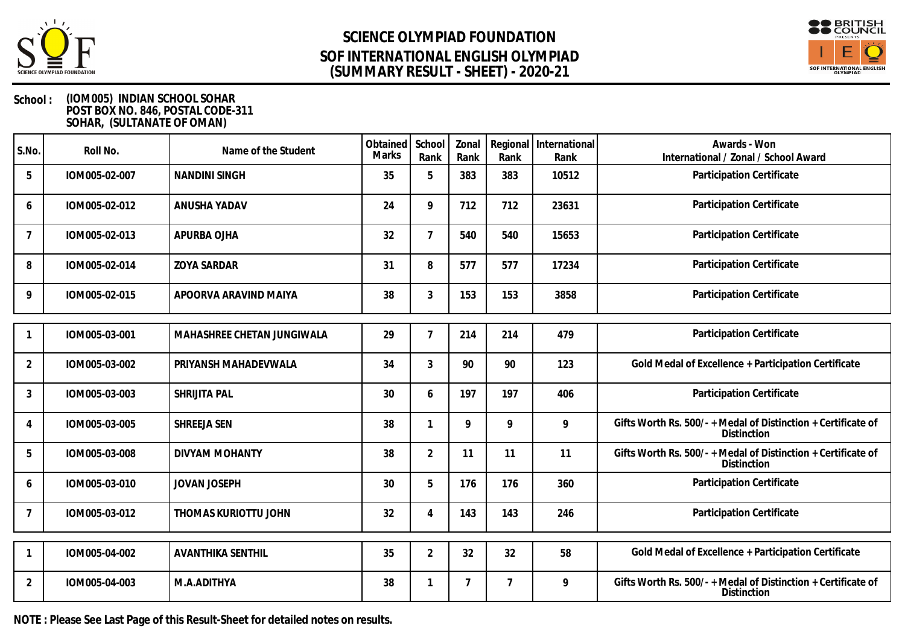



### **School : (IOM005) INDIAN SCHOOL SOHAR POST BOX NO. 846, POSTAL CODE-311 SOHAR, (SULTANATE OF OMAN)**

| S.No.          | Roll No.      | Name of the Student        | Obtained<br><b>Marks</b> | School<br>Rank | Zonal<br>Rank | Rank           | Regional   International<br>Rank | Awards - Won<br>International / Zonal / School Award                                |
|----------------|---------------|----------------------------|--------------------------|----------------|---------------|----------------|----------------------------------|-------------------------------------------------------------------------------------|
| 5              | IOM005-02-007 | <b>NANDINI SINGH</b>       | 35                       | 5              | 383           | 383            | 10512                            | Participation Certificate                                                           |
| 6              | IOM005-02-012 | ANUSHA YADAV               | 24                       | 9              | 712           | 712            | 23631                            | Participation Certificate                                                           |
| 7              | IOM005-02-013 | APURBA OJHA                | 32                       | $\overline{7}$ | 540           | 540            | 15653                            | Participation Certificate                                                           |
| 8              | IOM005-02-014 | <b>ZOYA SARDAR</b>         | 31                       | 8              | 577           | 577            | 17234                            | Participation Certificate                                                           |
| 9              | IOM005-02-015 | APOORVA ARAVIND MAIYA      | 38                       | $\mathfrak{Z}$ | 153           | 153            | 3858                             | Participation Certificate                                                           |
|                | IOM005-03-001 | MAHASHREE CHETAN JUNGIWALA | 29                       | $\overline{7}$ | 214           | 214            | 479                              | Participation Certificate                                                           |
| $\overline{2}$ | IOM005-03-002 | PRIYANSH MAHADEVWALA       | 34                       | $\mathfrak{Z}$ | 90            | 90             | 123                              | Gold Medal of Excellence + Participation Certificate                                |
| 3              | IOM005-03-003 | SHRIJITA PAL               | 30                       | 6              | 197           | 197            | 406                              | Participation Certificate                                                           |
| 4              | IOM005-03-005 | SHREEJA SEN                | 38                       |                | 9             | 9              | 9                                | Gifts Worth Rs. 500/- + Medal of Distinction + Certificate of<br><b>Distinction</b> |
| 5              | IOM005-03-008 | <b>DIVYAM MOHANTY</b>      | 38                       | $\overline{2}$ | 11            | 11             | 11                               | Gifts Worth Rs. 500/-+Medal of Distinction + Certificate of<br>Distinction          |
| 6              | IOM005-03-010 | <b>JOVAN JOSEPH</b>        | 30                       | 5              | 176           | 176            | 360                              | Participation Certificate                                                           |
| $\overline{7}$ | IOM005-03-012 | THOMAS KURIOTTU JOHN       | 32                       | $\overline{4}$ | 143           | 143            | 246                              | Participation Certificate                                                           |
|                | IOM005-04-002 | <b>AVANTHIKA SENTHIL</b>   | 35                       | $\overline{2}$ | 32            | 32             | 58                               | Gold Medal of Excellence + Participation Certificate                                |
| 2              | IOM005-04-003 | M.A.ADITHYA                | 38                       |                | 7             | $\overline{7}$ | 9                                | Gifts Worth Rs. 500/- + Medal of Distinction + Certificate of<br>Distinction        |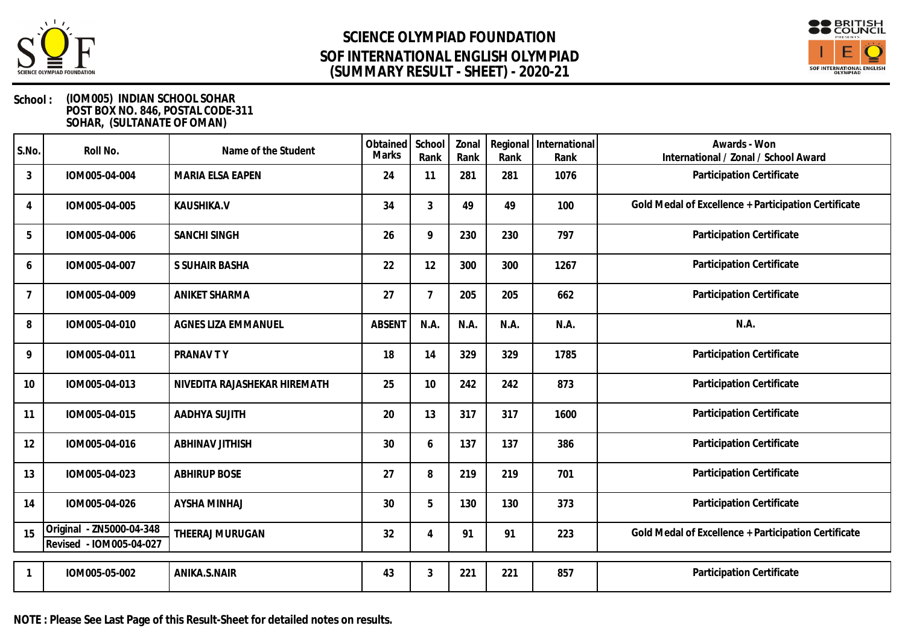



| S.No.          | Roll No.                                            | Name of the Student          | Obtained<br><b>Marks</b> | School<br>Rank | Zonal<br>Rank | Rank | Regional International<br>Rank | Awards - Won<br>International / Zonal / School Award |
|----------------|-----------------------------------------------------|------------------------------|--------------------------|----------------|---------------|------|--------------------------------|------------------------------------------------------|
| 3              | IOM005-04-004                                       | MARIA ELSA EAPEN             | 24                       | 11             | 281           | 281  | 1076                           | Participation Certificate                            |
| 4              | IOM005-04-005                                       | KAUSHIKA.V                   | 34                       | 3              | 49            | 49   | 100                            | Gold Medal of Excellence + Participation Certificate |
| 5              | IOM005-04-006                                       | SANCHI SINGH                 | 26                       | 9              | 230           | 230  | 797                            | Participation Certificate                            |
| 6              | IOM005-04-007                                       | S SUHAIR BASHA               | 22                       | 12             | 300           | 300  | 1267                           | Participation Certificate                            |
| $\overline{7}$ | IOM005-04-009                                       | <b>ANIKET SHARMA</b>         | 27                       | $\mathcal{I}$  | 205           | 205  | 662                            | Participation Certificate                            |
| 8              | IOM005-04-010                                       | AGNES LIZA EMMANUEL          | <b>ABSENT</b>            | N.A.           | N.A.          | N.A. | N.A.                           | N.A.                                                 |
| 9              | IOM005-04-011                                       | PRANAV TY                    | 18                       | 14             | 329           | 329  | 1785                           | Participation Certificate                            |
| 10             | IOM005-04-013                                       | NIVEDITA RAJASHEKAR HIREMATH | 25                       | 10             | 242           | 242  | 873                            | Participation Certificate                            |
| 11             | IOM005-04-015                                       | AADHYA SUJITH                | 20                       | 13             | 317           | 317  | 1600                           | Participation Certificate                            |
| 12             | IOM005-04-016                                       | <b>ABHINAV JITHISH</b>       | 30                       | 6              | 137           | 137  | 386                            | Participation Certificate                            |
| 13             | IOM005-04-023                                       | <b>ABHIRUP BOSE</b>          | 27                       | 8              | 219           | 219  | 701                            | Participation Certificate                            |
| 14             | IOM005-04-026                                       | <b>AYSHA MINHAJ</b>          | 30                       | 5              | 130           | 130  | 373                            | Participation Certificate                            |
| 15             | Original - ZN5000-04-348<br>Revised - IOM005-04-027 | THEERAJ MURUGAN              | 32                       | $\overline{4}$ | 91            | 91   | 223                            | Gold Medal of Excellence + Participation Certificate |
|                | IOM005-05-002                                       | ANIKA.S.NAIR                 | 43                       | 3              | 221           | 221  | 857                            | Participation Certificate                            |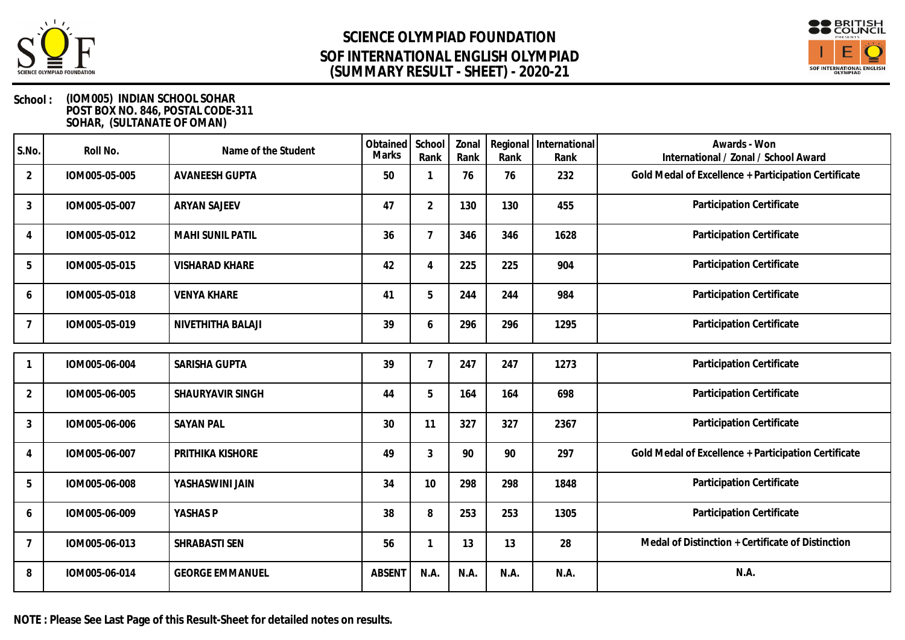



| S.No.          | Roll No.      | Name of the Student     | Obtained<br>Marks | School<br>Rank | Zonal<br>Rank | Rank | Regional   International<br>Rank | Awards - Won<br>International / Zonal / School Award |
|----------------|---------------|-------------------------|-------------------|----------------|---------------|------|----------------------------------|------------------------------------------------------|
| $\overline{2}$ | IOM005-05-005 | <b>AVANEESH GUPTA</b>   | 50                |                | 76            | 76   | 232                              | Gold Medal of Excellence + Participation Certificate |
| $\mathfrak{Z}$ | IOM005-05-007 | <b>ARYAN SAJEEV</b>     | 47                | $\overline{2}$ | 130           | 130  | 455                              | Participation Certificate                            |
| 4              | IOM005-05-012 | <b>MAHI SUNIL PATIL</b> | 36                | 7              | 346           | 346  | 1628                             | Participation Certificate                            |
| 5              | IOM005-05-015 | <b>VISHARAD KHARE</b>   | 42                | 4              | 225           | 225  | 904                              | Participation Certificate                            |
| 6              | IOM005-05-018 | <b>VENYA KHARE</b>      | 41                | 5              | 244           | 244  | 984                              | Participation Certificate                            |
| $\overline{7}$ | IOM005-05-019 | NIVETHITHA BALAJI       | 39                | 6              | 296           | 296  | 1295                             | Participation Certificate                            |
|                | IOM005-06-004 | SARISHA GUPTA           | 39                | $\overline{7}$ | 247           | 247  | 1273                             | Participation Certificate                            |
| $\overline{2}$ | IOM005-06-005 | SHAURYAVIR SINGH        | 44                | 5              | 164           | 164  | 698                              | Participation Certificate                            |
| 3              | IOM005-06-006 | <b>SAYAN PAL</b>        | 30                | 11             | 327           | 327  | 2367                             | Participation Certificate                            |
| $\overline{4}$ | IOM005-06-007 | PRITHIKA KISHORE        | 49                | 3              | 90            | 90   | 297                              | Gold Medal of Excellence + Participation Certificate |
| 5              | IOM005-06-008 | YASHASWINI JAIN         | 34                | 10             | 298           | 298  | 1848                             | Participation Certificate                            |
| 6              | IOM005-06-009 | YASHAS P                | 38                | 8              | 253           | 253  | 1305                             | Participation Certificate                            |
| $\overline{7}$ | IOM005-06-013 | SHRABASTI SEN           | 56                |                | 13            | 13   | 28                               | Medal of Distinction + Certificate of Distinction    |
| 8              | IOM005-06-014 | <b>GEORGE EMMANUEL</b>  | <b>ABSENT</b>     | N.A.           | N.A.          | N.A. | N.A.                             | N.A.                                                 |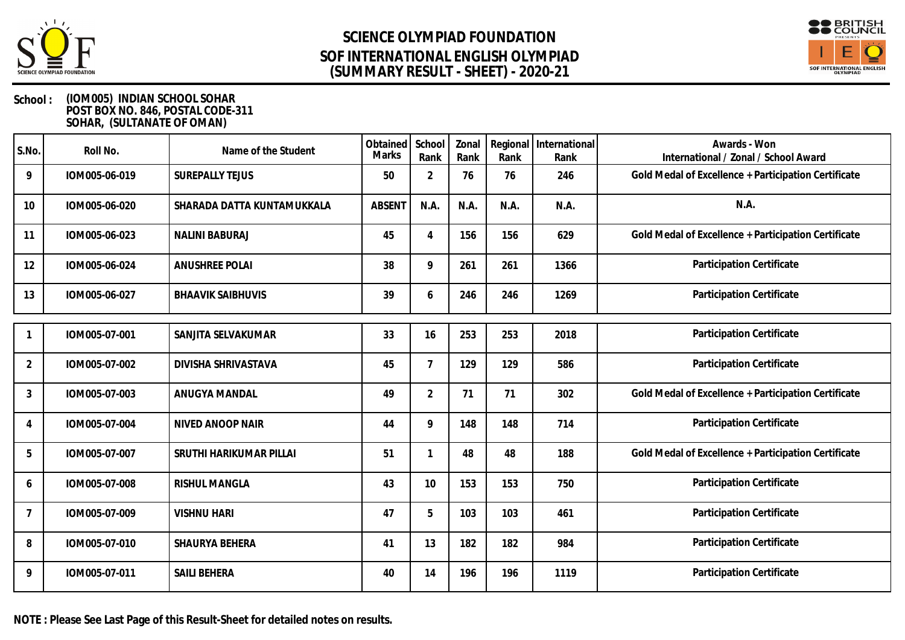



### **School : (IOM005) INDIAN SCHOOL SOHAR POST BOX NO. 846, POSTAL CODE-311 SOHAR, (SULTANATE OF OMAN)**

| S.No.          | Roll No.      | Name of the Student        | Obtained<br><b>Marks</b> | School<br>Rank | Zonal<br>Rank | Regional<br>Rank | International<br>Rank | Awards - Won<br>International / Zonal / School Award |
|----------------|---------------|----------------------------|--------------------------|----------------|---------------|------------------|-----------------------|------------------------------------------------------|
| 9              | IOM005-06-019 | <b>SUREPALLY TEJUS</b>     | 50                       | $\overline{2}$ | 76            | 76               | 246                   | Gold Medal of Excellence + Participation Certificate |
| 10             | IOM005-06-020 | SHARADA DATTA KUNTAMUKKALA | <b>ABSENT</b>            | N.A.           | N.A.          | N.A.             | N.A.                  | N.A.                                                 |
| 11             | IOM005-06-023 | <b>NALINI BABURAJ</b>      | 45                       | $\overline{4}$ | 156           | 156              | 629                   | Gold Medal of Excellence + Participation Certificate |
| 12             | IOM005-06-024 | <b>ANUSHREE POLAI</b>      | 38                       | 9              | 261           | 261              | 1366                  | Participation Certificate                            |
| 13             | IOM005-06-027 | <b>BHAAVIK SAIBHUVIS</b>   | 39                       | 6              | 246           | 246              | 1269                  | Participation Certificate                            |
|                | IOM005-07-001 | SANJITA SELVAKUMAR         | 33                       | 16             | 253           | 253              | 2018                  | Participation Certificate                            |
| $\overline{2}$ | IOM005-07-002 | DIVISHA SHRIVASTAVA        | 45                       | $\overline{7}$ | 129           | 129              | 586                   | Participation Certificate                            |
| 3              | IOM005-07-003 | ANUGYA MANDAL              | 49                       | $\overline{2}$ | 71            | 71               | 302                   | Gold Medal of Excellence + Participation Certificate |
| 4              | IOM005-07-004 | NIVED ANOOP NAIR           | 44                       | 9              | 148           | 148              | 714                   | Participation Certificate                            |
| 5              | IOM005-07-007 | SRUTHI HARIKUMAR PILLAI    | 51                       |                | 48            | 48               | 188                   | Gold Medal of Excellence + Participation Certificate |
| 6              | IOM005-07-008 | <b>RISHUL MANGLA</b>       | 43                       | 10             | 153           | 153              | 750                   | Participation Certificate                            |
| $\overline{7}$ | IOM005-07-009 | <b>VISHNU HARI</b>         | 47                       | 5              | 103           | 103              | 461                   | Participation Certificate                            |
| 8              | IOM005-07-010 | SHAURYA BEHERA             | 41                       | 13             | 182           | 182              | 984                   | Participation Certificate                            |
| 9              | IOM005-07-011 | <b>SAILI BEHERA</b>        | 40                       | 14             | 196           | 196              | 1119                  | Participation Certificate                            |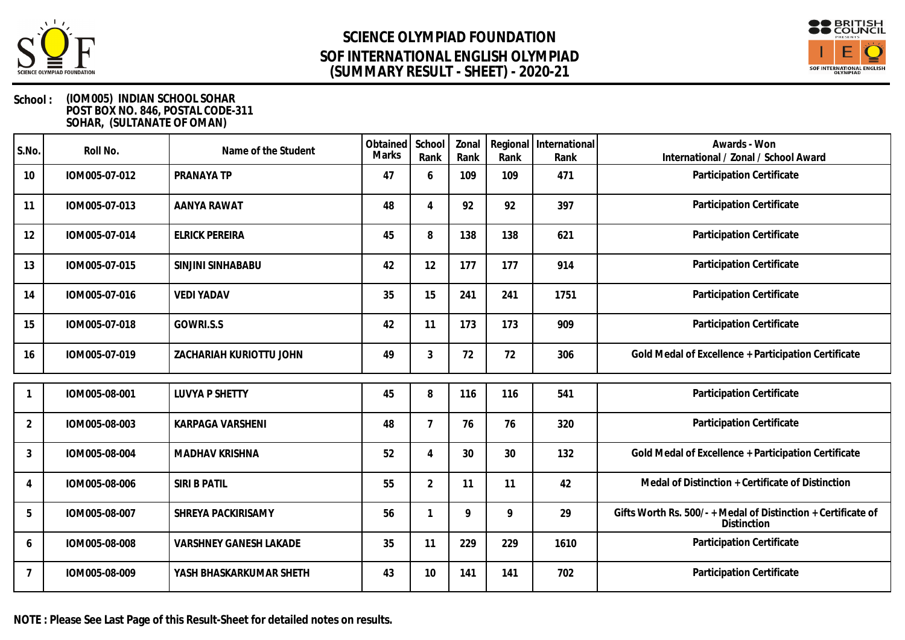



### **School : (IOM005) INDIAN SCHOOL SOHAR POST BOX NO. 846, POSTAL CODE-311 SOHAR, (SULTANATE OF OMAN)**

| S.No.          | Roll No.      | Name of the Student           | Obtained<br>Marks | School<br>Rank | Zonal<br>Rank | Rank | Regional   International<br>Rank | Awards - Won<br>International / Zonal / School Award                                |
|----------------|---------------|-------------------------------|-------------------|----------------|---------------|------|----------------------------------|-------------------------------------------------------------------------------------|
| 10             | IOM005-07-012 | PRANAYA TP                    | 47                | 6              | 109           | 109  | 471                              | Participation Certificate                                                           |
| 11             | IOM005-07-013 | AANYA RAWAT                   | 48                | $\overline{4}$ | 92            | 92   | 397                              | Participation Certificate                                                           |
| 12             | IOM005-07-014 | <b>ELRICK PEREIRA</b>         | 45                | 8              | 138           | 138  | 621                              | Participation Certificate                                                           |
| 13             | IOM005-07-015 | SINJINI SINHABABU             | 42                | 12             | 177           | 177  | 914                              | Participation Certificate                                                           |
| 14             | IOM005-07-016 | <b>VEDI YADAV</b>             | 35                | 15             | 241           | 241  | 1751                             | Participation Certificate                                                           |
| 15             | IOM005-07-018 | GOWRI.S.S                     | 42                | 11             | 173           | 173  | 909                              | Participation Certificate                                                           |
| 16             | IOM005-07-019 | ZACHARIAH KURIOTTU JOHN       | 49                | 3              | 72            | 72   | 306                              | Gold Medal of Excellence + Participation Certificate                                |
|                | IOM005-08-001 | <b>LUVYA P SHETTY</b>         | 45                | 8              | 116           | 116  | 541                              | Participation Certificate                                                           |
|                |               |                               |                   |                |               |      |                                  |                                                                                     |
| $\overline{2}$ | IOM005-08-003 | KARPAGA VARSHENI              | 48                | $\overline{7}$ | 76            | 76   | 320                              | Participation Certificate                                                           |
| 3              | IOM005-08-004 | <b>MADHAV KRISHNA</b>         | 52                | $\overline{4}$ | 30            | 30   | 132                              | Gold Medal of Excellence + Participation Certificate                                |
| 4              | IOM005-08-006 | SIRI B PATIL                  | 55                | $\overline{2}$ | 11            | 11   | 42                               | Medal of Distinction + Certificate of Distinction                                   |
| 5              | IOM005-08-007 | SHREYA PACKIRISAMY            | 56                |                | 9             | 9    | 29                               | Gifts Worth Rs. 500/- + Medal of Distinction + Certificate of<br><b>Distinction</b> |
| 6              | IOM005-08-008 | <b>VARSHNEY GANESH LAKADE</b> | 35                | 11             | 229           | 229  | 1610                             | Participation Certificate                                                           |
| $\overline{7}$ | IOM005-08-009 | YASH BHASKARKUMAR SHETH       | 43                | 10             | 141           | 141  | 702                              | Participation Certificate                                                           |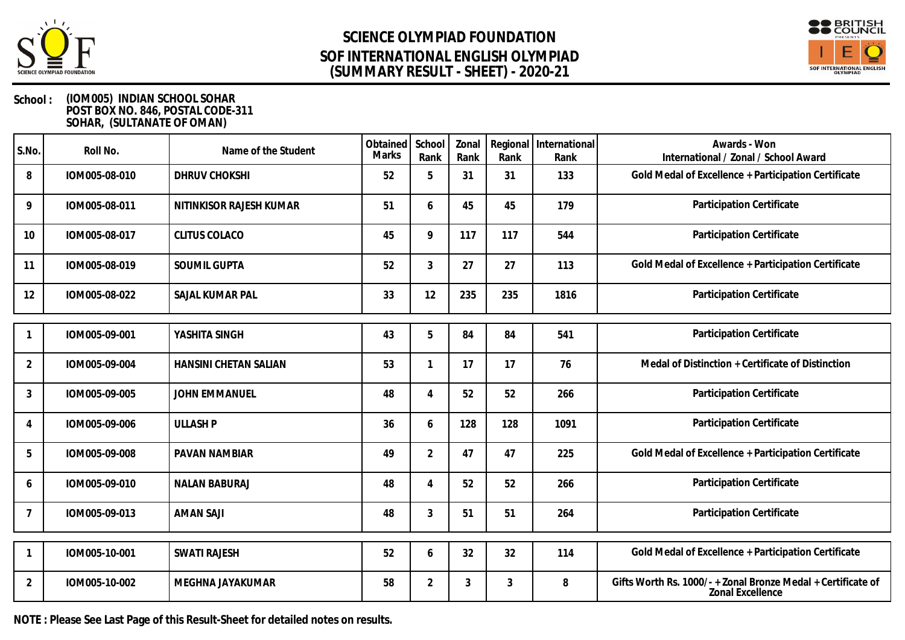



### **School : (IOM005) INDIAN SCHOOL SOHAR POST BOX NO. 846, POSTAL CODE-311 SOHAR, (SULTANATE OF OMAN)**

| S.No.          | Roll No.      | Name of the Student     | Obtained<br><b>Marks</b> | School<br>Rank            | Zonal<br>Rank  | Regional<br>Rank | International<br>Rank | Awards - Won<br>International / Zonal / School Award                                    |
|----------------|---------------|-------------------------|--------------------------|---------------------------|----------------|------------------|-----------------------|-----------------------------------------------------------------------------------------|
| 8              | IOM005-08-010 | DHRUV CHOKSHI           | 52                       | 5                         | 31             | 31               | 133                   | Gold Medal of Excellence + Participation Certificate                                    |
| 9              | IOM005-08-011 | NITINKISOR RAJESH KUMAR | 51                       | 6                         | 45             | 45               | 179                   | Participation Certificate                                                               |
| 10             | IOM005-08-017 | <b>CLITUS COLACO</b>    | 45                       | 9                         | 117            | 117              | 544                   | Participation Certificate                                                               |
| 11             | IOM005-08-019 | SOUMIL GUPTA            | 52                       | 3                         | 27             | 27               | 113                   | Gold Medal of Excellence + Participation Certificate                                    |
| 12             | IOM005-08-022 | SAJAL KUMAR PAL         | 33                       | 12                        | 235            | 235              | 1816                  | Participation Certificate                                                               |
|                | IOM005-09-001 | YASHITA SINGH           | 43                       | 5                         | 84             | 84               | 541                   | Participation Certificate                                                               |
| 2              | IOM005-09-004 | HANSINI CHETAN SALIAN   | 53                       |                           | 17             | 17               | 76                    | Medal of Distinction + Certificate of Distinction                                       |
| 3              | IOM005-09-005 | JOHN EMMANUEL           | 48                       | $\boldsymbol{\varLambda}$ | 52             | 52               | 266                   | Participation Certificate                                                               |
| 4              | IOM005-09-006 | <b>ULLASH P</b>         | 36                       | 6                         | 128            | 128              | 1091                  | Participation Certificate                                                               |
| 5              | IOM005-09-008 | PAVAN NAMBIAR           | 49                       | $\overline{2}$            | 47             | 47               | 225                   | Gold Medal of Excellence + Participation Certificate                                    |
| 6              | IOM005-09-010 | <b>NALAN BABURAJ</b>    | 48                       | $\overline{4}$            | 52             | 52               | 266                   | Participation Certificate                                                               |
|                | IOM005-09-013 | <b>AMAN SAJI</b>        | 48                       | 3                         | 51             | 51               | 264                   | Participation Certificate                                                               |
|                | IOM005-10-001 | <b>SWATI RAJESH</b>     | 52                       | 6                         | 32             | 32               | 114                   | Gold Medal of Excellence + Participation Certificate                                    |
| $\overline{2}$ | IOM005-10-002 | MEGHNA JAYAKUMAR        | 58                       | $\overline{2}$            | $\mathfrak{Z}$ | 3                | 8                     | Gifts Worth Rs. 1000/- + Zonal Bronze Medal + Certificate of<br><b>Zonal Excellence</b> |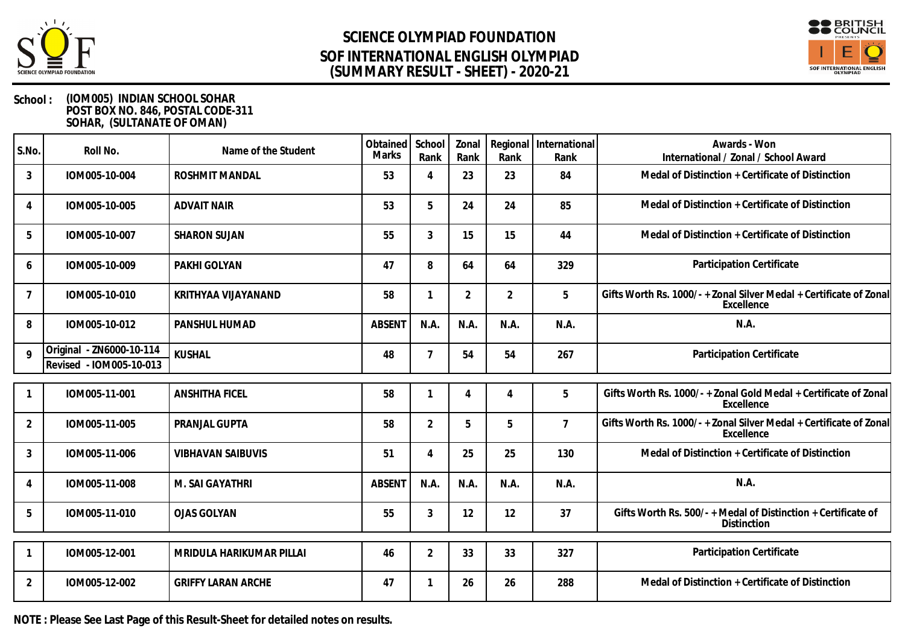



### **School : (IOM005) INDIAN SCHOOL SOHAR POST BOX NO. 846, POSTAL CODE-311 SOHAR, (SULTANATE OF OMAN)**

| S.No.          | Roll No.                                            | Name of the Student       | Obtained School<br><b>Marks</b> | Rank           | Zonal<br>Rank | Rank           | Regional   International<br>Rank | Awards - Won<br>International / Zonal / School Award                                |
|----------------|-----------------------------------------------------|---------------------------|---------------------------------|----------------|---------------|----------------|----------------------------------|-------------------------------------------------------------------------------------|
| $\mathbf{3}$   | IOM005-10-004                                       | <b>ROSHMIT MANDAL</b>     | 53                              | 4              | 23            | 23             | 84                               | Medal of Distinction + Certificate of Distinction                                   |
| 4              | IOM005-10-005                                       | <b>ADVAIT NAIR</b>        | 53                              | 5              | 24            | 24             | 85                               | Medal of Distinction + Certificate of Distinction                                   |
| 5              | IOM005-10-007                                       | <b>SHARON SUJAN</b>       | 55                              | $\mathfrak{Z}$ | 15            | 15             | 44                               | Medal of Distinction + Certificate of Distinction                                   |
| 6              | IOM005-10-009                                       | PAKHI GOLYAN              | 47                              | 8              | 64            | 64             | 329                              | Participation Certificate                                                           |
| $\overline{7}$ | IOM005-10-010                                       | KRITHYAA VIJAYANAND       | 58                              |                | 2             | 2              | 5                                | Gifts Worth Rs. 1000/- + Zonal Silver Medal + Certificate of Zonal<br>Excellence    |
| 8              | IOM005-10-012                                       | <b>PANSHUL HUMAD</b>      | <b>ABSENT</b>                   | N.A.           | N.A.          | N.A.           | N.A.                             | N.A.                                                                                |
| $\mathsf{Q}$   | Original - ZN6000-10-114<br>Revised - IOM005-10-013 | <b>KUSHAL</b>             | 48                              | $\overline{7}$ | 54            | 54             | 267                              | Participation Certificate                                                           |
|                | IOM005-11-001                                       | <b>ANSHITHA FICEL</b>     | 58                              |                | 4             | $\overline{4}$ | 5                                | Gifts Worth Rs. 1000/-+Zonal Gold Medal + Certificate of Zonal<br>Excellence        |
| 2              | IOM005-11-005                                       | PRANJAL GUPTA             | 58                              | $\overline{2}$ | 5             | 5              | $\overline{7}$                   | Gifts Worth Rs. 1000/- + Zonal Silver Medal + Certificate of Zonal<br>Excellence    |
| 3              | IOM005-11-006                                       | <b>VIBHAVAN SAIBUVIS</b>  | 51                              | 4              | 25            | 25             | 130                              | Medal of Distinction + Certificate of Distinction                                   |
| 4              | IOM005-11-008                                       | M. SAI GAYATHRI           | <b>ABSENT</b>                   | N.A.           | N.A.          | N.A.           | N.A.                             | N.A.                                                                                |
| 5              | IOM005-11-010                                       | <b>OJAS GOLYAN</b>        | 55                              | $\mathfrak{Z}$ | 12            | 12             | 37                               | Gifts Worth Rs. 500/- + Medal of Distinction + Certificate of<br><b>Distinction</b> |
|                | IOM005-12-001                                       | MRIDULA HARIKUMAR PILLAI  | 46                              | 2              | 33            | 33             | 327                              | Participation Certificate                                                           |
| 2              | IOM005-12-002                                       | <b>GRIFFY LARAN ARCHE</b> | 47                              |                | 26            | 26             | 288                              | Medal of Distinction + Certificate of Distinction                                   |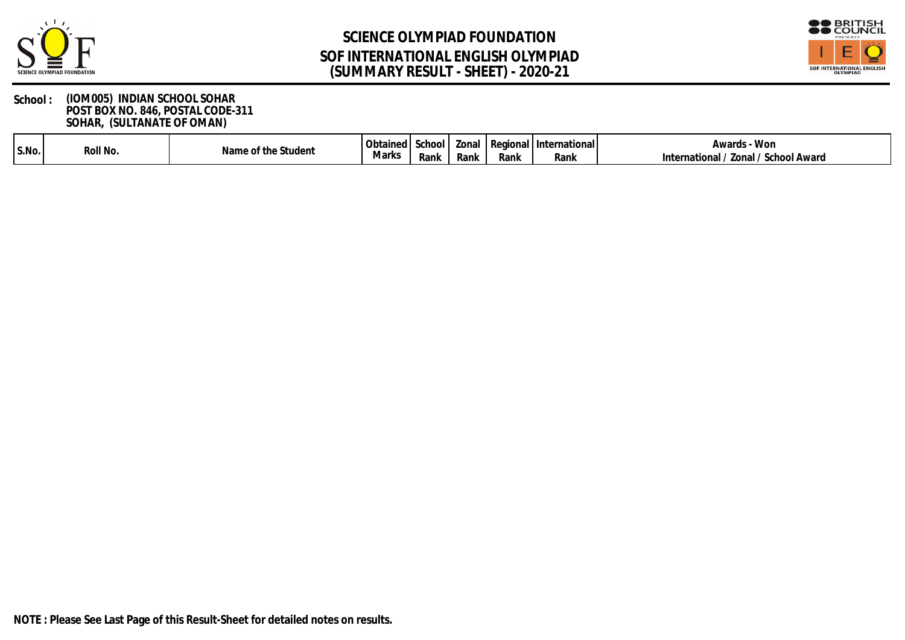



| S.No. | .Jll No<br>- ROT | $\ddot{\phantom{1}}$<br>Namel<br>Student<br>$\sim$ of the $\sim$ | Obtainer | -School | <i>L</i> onal | l Regiona | Internationa | Won<br>Awards                                        |
|-------|------------------|------------------------------------------------------------------|----------|---------|---------------|-----------|--------------|------------------------------------------------------|
|       |                  | $\cdot$                                                          | Marks    | Rank    | Rank          | Rank      | Rank         | School<br>Award<br><b>Zonal</b><br>rnationa<br>Intei |